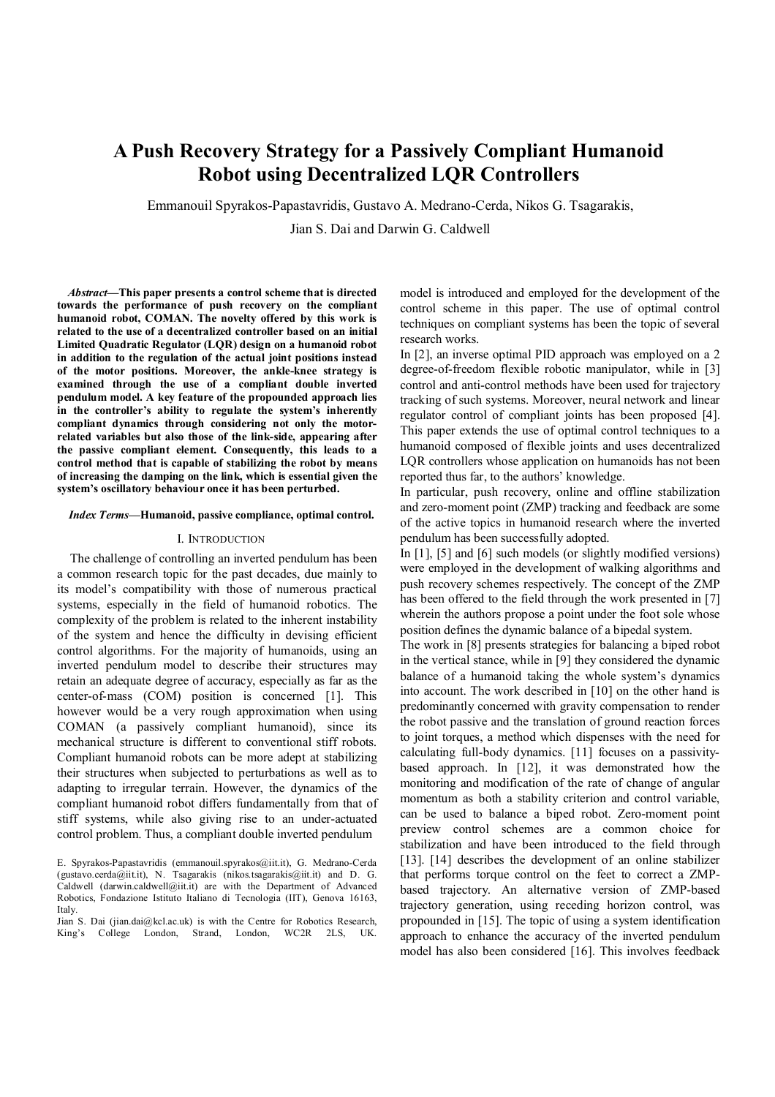# **A Push Recovery Strategy for a Passively Compliant Humanoid Robot using Decentralized LQR Controllers**

Emmanouil Spyrakos-Papastavridis, Gustavo A. Medrano-Cerda, Nikos G. Tsagarakis,

Jian S. Dai and Darwin G. Caldwell

*Abstract***—This paper presents a control scheme that is directed towards the performance of push recovery on the compliant humanoid robot, COMAN. The novelty offered by this work is related to the use of a decentralized controller based on an initial Limited Quadratic Regulator (LQR) design on a humanoid robot in addition to the regulation of the actual joint positions instead of the motor positions. Moreover, the ankle-knee strategy is examined through the use of a compliant double inverted pendulum model. A key feature of the propounded approach lies in the controller's ability to regulate the system's inherently compliant dynamics through considering not only the motorrelated variables but also those of the link-side, appearing after the passive compliant element. Consequently, this leads to a control method that is capable of stabilizing the robot by means of increasing the damping on the link, which is essential given the system's oscillatory behaviour once it has been perturbed.**

#### *Index Terms***—Humanoid, passive compliance, optimal control.**

#### I. INTRODUCTION

The challenge of controlling an inverted pendulum has been a common research topic for the past decades, due mainly to its model's compatibility with those of numerous practical systems, especially in the field of humanoid robotics. The complexity of the problem is related to the inherent instability of the system and hence the difficulty in devising efficient control algorithms. For the majority of humanoids, using an inverted pendulum model to describe their structures may retain an adequate degree of accuracy, especially as far as the center-of-mass (COM) position is concerned [1]. This however would be a very rough approximation when using COMAN (a passively compliant humanoid), since its mechanical structure is different to conventional stiff robots. Compliant humanoid robots can be more adept at stabilizing their structures when subjected to perturbations as well as to adapting to irregular terrain. However, the dynamics of the compliant humanoid robot differs fundamentally from that of stiff systems, while also giving rise to an under-actuated control problem. Thus, a compliant double inverted pendulum

model is introduced and employed for the development of the control scheme in this paper. The use of optimal control techniques on compliant systems has been the topic of several research works.

In [2], an inverse optimal PID approach was employed on a 2 degree-of-freedom flexible robotic manipulator, while in [3] control and anti-control methods have been used for trajectory tracking of such systems. Moreover, neural network and linear regulator control of compliant joints has been proposed [4]. This paper extends the use of optimal control techniques to a humanoid composed of flexible joints and uses decentralized LQR controllers whose application on humanoids has not been reported thus far, to the authors' knowledge.

In particular, push recovery, online and offline stabilization and zero-moment point (ZMP) tracking and feedback are some of the active topics in humanoid research where the inverted pendulum has been successfully adopted.

In [1], [5] and [6] such models (or slightly modified versions) were employed in the development of walking algorithms and push recovery schemes respectively. The concept of the ZMP has been offered to the field through the work presented in [7] wherein the authors propose a point under the foot sole whose position defines the dynamic balance of a bipedal system.

The work in [8] presents strategies for balancing a biped robot in the vertical stance, while in [9] they considered the dynamic balance of a humanoid taking the whole system's dynamics into account. The work described in [10] on the other hand is predominantly concerned with gravity compensation to render the robot passive and the translation of ground reaction forces to joint torques, a method which dispenses with the need for calculating full-body dynamics. [11] focuses on a passivitybased approach. In [12], it was demonstrated how the monitoring and modification of the rate of change of angular momentum as both a stability criterion and control variable, can be used to balance a biped robot. Zero-moment point preview control schemes are a common choice for stabilization and have been introduced to the field through [13]. [14] describes the development of an online stabilizer that performs torque control on the feet to correct a ZMPbased trajectory. An alternative version of ZMP-based trajectory generation, using receding horizon control, was propounded in [15]. The topic of using a system identification approach to enhance the accuracy of the inverted pendulum model has also been considered [16]. This involves feedback

E. Spyrakos-Papastavridis (emmanouil.spyrakos@iit.it), G. Medrano-Cerda (gustavo.cerda@iit.it), N. Tsagarakis (nikos.tsagarakis@iit.it) and D. G. Caldwell (darwin.caldwell@iit.it) are with the Department of Advanced Robotics, Fondazione Istituto Italiano di Tecnologia (IIT), Genova 16163, Italy.

Jian S. Dai (jian.dai@kcl.ac.uk) is with the Centre for Robotics Research, King's College London, Strand, London, WC2R 2LS, UK.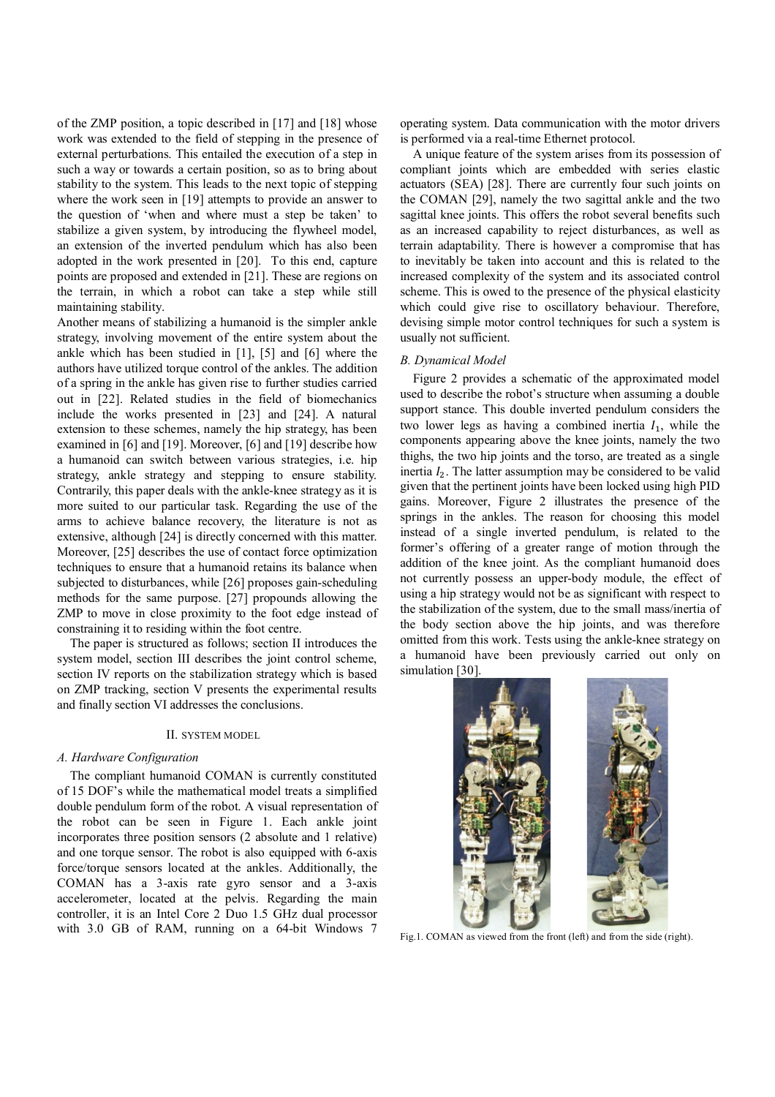of the ZMP position, a topic described in [17] and [18] whose work was extended to the field of stepping in the presence of external perturbations. This entailed the execution of a step in such a way or towards a certain position, so as to bring about stability to the system. This leads to the next topic of stepping where the work seen in [19] attempts to provide an answer to the question of 'when and where must a step be taken' to stabilize a given system, by introducing the flywheel model, an extension of the inverted pendulum which has also been adopted in the work presented in [20]. To this end, capture points are proposed and extended in [21]. These are regions on the terrain, in which a robot can take a step while still maintaining stability.

Another means of stabilizing a humanoid is the simpler ankle strategy, involving movement of the entire system about the ankle which has been studied in [1], [5] and [6] where the authors have utilized torque control of the ankles. The addition of a spring in the ankle has given rise to further studies carried out in [22]. Related studies in the field of biomechanics include the works presented in [23] and [24]. A natural extension to these schemes, namely the hip strategy, has been examined in [6] and [19]. Moreover, [6] and [19] describe how a humanoid can switch between various strategies, i.e. hip strategy, ankle strategy and stepping to ensure stability. Contrarily, this paper deals with the ankle-knee strategy as it is more suited to our particular task. Regarding the use of the arms to achieve balance recovery, the literature is not as extensive, although [24] is directly concerned with this matter. Moreover, [25] describes the use of contact force optimization techniques to ensure that a humanoid retains its balance when subjected to disturbances, while [26] proposes gain-scheduling methods for the same purpose. [27] propounds allowing the ZMP to move in close proximity to the foot edge instead of constraining it to residing within the foot centre.

The paper is structured as follows; section II introduces the system model, section III describes the joint control scheme, section IV reports on the stabilization strategy which is based on ZMP tracking, section V presents the experimental results and finally section VI addresses the conclusions.

## II. SYSTEM MODEL

#### *A. Hardware Configuration*

The compliant humanoid COMAN is currently constituted of 15 DOF's while the mathematical model treats a simplified double pendulum form of the robot. A visual representation of the robot can be seen in Figure 1. Each ankle joint incorporates three position sensors (2 absolute and 1 relative) and one torque sensor. The robot is also equipped with 6-axis force/torque sensors located at the ankles. Additionally, the COMAN has a 3-axis rate gyro sensor and a 3-axis accelerometer, located at the pelvis. Regarding the main controller, it is an Intel Core 2 Duo 1.5 GHz dual processor with 3.0 GB of RAM, running on a 64-bit Windows 7

operating system. Data communication with the motor drivers is performed via a real-time Ethernet protocol.

A unique feature of the system arises from its possession of compliant joints which are embedded with series elastic actuators (SEA) [28]. There are currently four such joints on the COMAN [29], namely the two sagittal ankle and the two sagittal knee joints. This offers the robot several benefits such as an increased capability to reject disturbances, as well as terrain adaptability. There is however a compromise that has to inevitably be taken into account and this is related to the increased complexity of the system and its associated control scheme. This is owed to the presence of the physical elasticity which could give rise to oscillatory behaviour. Therefore, devising simple motor control techniques for such a system is usually not sufficient.

#### *B. Dynamical Model*

Figure 2 provides a schematic of the approximated model used to describe the robot's structure when assuming a double support stance. This double inverted pendulum considers the two lower legs as having a combined inertia  $I_1$ , while the components appearing above the knee joints, namely the two thighs, the two hip joints and the torso, are treated as a single inertia  $I_2$ . The latter assumption may be considered to be valid given that the pertinent joints have been locked using high PID gains. Moreover, Figure 2 illustrates the presence of the springs in the ankles. The reason for choosing this model instead of a single inverted pendulum, is related to the former's offering of a greater range of motion through the addition of the knee joint. As the compliant humanoid does not currently possess an upper-body module, the effect of using a hip strategy would not be as significant with respect to the stabilization of the system, due to the small mass/inertia of the body section above the hip joints, and was therefore omitted from this work. Tests using the ankle-knee strategy on a humanoid have been previously carried out only on simulation [30].



Fig.1. COMAN as viewed from the front (left) and from the side (right).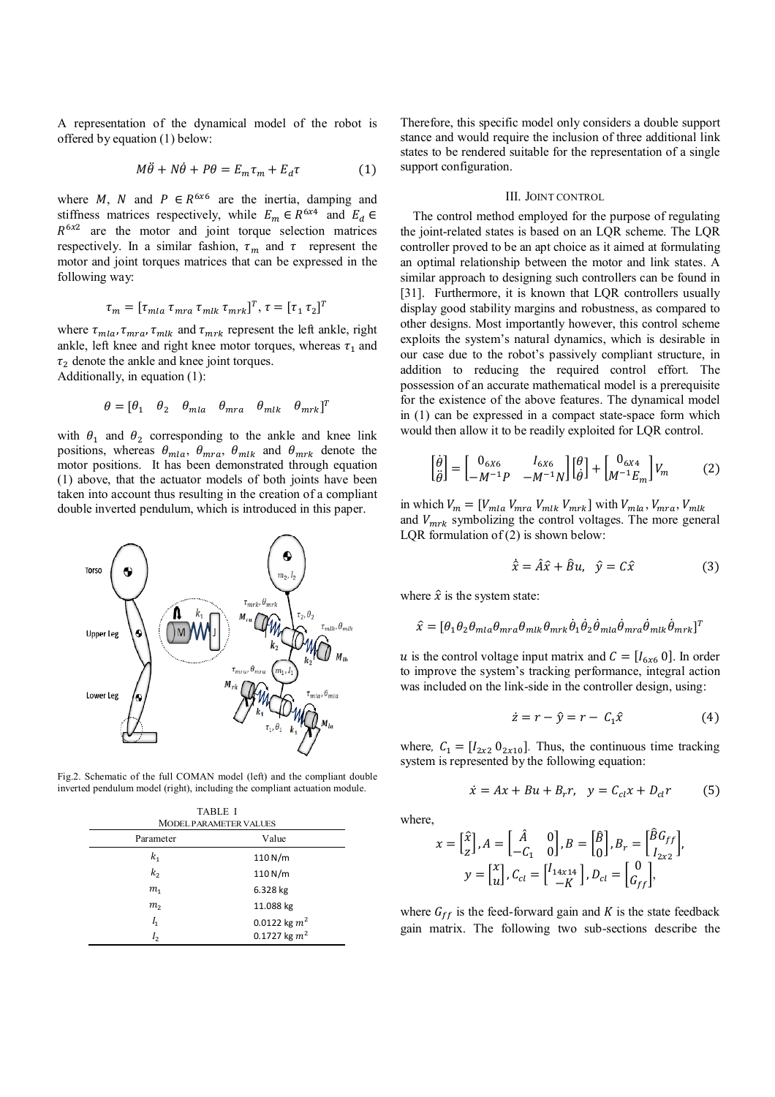A representation of the dynamical model of the robot is offered by equation (1) below:

$$
M\ddot{\theta} + N\dot{\theta} + P\theta = E_m \tau_m + E_d \tau \tag{1}
$$

where M, N and  $P \in R^{6x6}$  are the inertia, damping and stiffness matrices respectively, while  $E_m \in R^{6x4}$  and  $E_d \in$  $R^{6x2}$  are the motor and joint torque selection matrices respectively. In a similar fashion,  $\tau_m$  and  $\tau$  represent the motor and joint torques matrices that can be expressed in the following way:

$$
\tau_m = [\tau_{mla} \tau_{mra} \tau_{mlk} \tau_{mrk}]^T, \tau = [\tau_1 \tau_2]^T
$$

where  $\tau_{mla}, \tau_{mra}, \tau_{mlk}$  and  $\tau_{mrk}$  represent the left ankle, right ankle, left knee and right knee motor torques, whereas  $\tau_1$  and  $\tau_2$  denote the ankle and knee joint torques.

Additionally, in equation (1):

$$
\theta = [\theta_1 \quad \theta_2 \quad \theta_{mla} \quad \theta_{mra} \quad \theta_{mlk} \quad \theta_{mrk}]^T
$$

with  $\theta_1$  and  $\theta_2$  corresponding to the ankle and knee link positions, whereas  $\theta_{mla}$ ,  $\theta_{mra}$ ,  $\theta_{mlk}$  and  $\theta_{mrk}$  denote the motor positions. It has been demonstrated through equation (1) above, that the actuator models of both joints have been taken into account thus resulting in the creation of a compliant double inverted pendulum, which is introduced in this paper.



Fig.2. Schematic of the full COMAN model (left) and the compliant double inverted pendulum model (right), including the compliant actuation module.

| <b>TABLE I</b><br><b>MODEL PARAMETER VALUES</b> |                   |
|-------------------------------------------------|-------------------|
| Parameter                                       | Value             |
| $k_{1}$                                         | 110 N/m           |
| k <sub>2</sub>                                  | 110 N/m           |
| m <sub>1</sub>                                  | 6.328 kg          |
| m <sub>2</sub>                                  | 11.088 kg         |
| $I_1$                                           | 0.0122 kg $m^2$   |
| I <sub>2</sub>                                  | $0.1727$ kg $m^2$ |

Therefore, this specific model only considers a double support stance and would require the inclusion of three additional link states to be rendered suitable for the representation of a single support configuration.

## III. JOINT CONTROL

The control method employed for the purpose of regulating the joint-related states is based on an LQR scheme. The LQR controller proved to be an apt choice as it aimed at formulating an optimal relationship between the motor and link states. A similar approach to designing such controllers can be found in [31]. Furthermore, it is known that LQR controllers usually display good stability margins and robustness, as compared to other designs. Most importantly however, this control scheme exploits the system's natural dynamics, which is desirable in our case due to the robot's passively compliant structure, in addition to reducing the required control effort. The possession of an accurate mathematical model is a prerequisite for the existence of the above features. The dynamical model in (1) can be expressed in a compact state-space form which would then allow it to be readily exploited for LQR control.

$$
\begin{bmatrix} \dot{\theta} \\ \ddot{\theta} \end{bmatrix} = \begin{bmatrix} 0_{6X6} & I_{6X6} \\ -M^{-1}P & -M^{-1}N \end{bmatrix} \begin{bmatrix} \theta \\ \dot{\theta} \end{bmatrix} + \begin{bmatrix} 0_{6X4} \\ M^{-1}E_m \end{bmatrix} V_m \tag{2}
$$

in which  $V_m = [V_{mla} V_{mra} V_{mlk} V_{mrk}]$  with  $V_{mla} V_{mra}$ ,  $V_{mlk}$ and  $V_{mrk}$  symbolizing the control voltages. The more general LQR formulation of  $(2)$  is shown below:

$$
\dot{\hat{x}} = \hat{A}\hat{x} + \hat{B}u, \quad \hat{y} = C\hat{x}
$$
 (3)

where  $\hat{x}$  is the system state:

$$
\hat{x} = [\theta_1 \theta_2 \theta_{mla} \theta_{mra} \theta_{mlk} \theta_{mrk} \dot{\theta}_1 \dot{\theta}_2 \dot{\theta}_{mla} \dot{\theta}_{mra} \dot{\theta}_{mlk} \dot{\theta}_{mrk}]^T
$$

u is the control voltage input matrix and  $C = [I_{6x6} \ 0]$ . In order to improve the system's tracking performance, integral action was included on the link-side in the controller design, using:

$$
\dot{z} = r - \hat{y} = r - C_1 \hat{x} \tag{4}
$$

where,  $C_1 = [I_{2x2} \ 0_{2x10}]$ . Thus, the continuous time tracking system is represented by the following equation:

$$
\dot{x} = Ax + Bu + B_r r, \quad y = C_{cl}x + D_{cl}r \tag{5}
$$

where,

$$
x = \begin{bmatrix} \hat{x} \\ z \end{bmatrix}, A = \begin{bmatrix} \hat{A} & 0 \\ -C_1 & 0 \end{bmatrix}, B = \begin{bmatrix} \hat{B} \\ 0 \end{bmatrix}, B_r = \begin{bmatrix} \hat{B}G_{ff} \\ I_{2xz} \end{bmatrix},
$$

$$
y = \begin{bmatrix} x \\ u \end{bmatrix}, C_{cl} = \begin{bmatrix} I_{14x14} \\ -K \end{bmatrix}, D_{cl} = \begin{bmatrix} 0 \\ G_{ff} \end{bmatrix},
$$

where  $G_{ff}$  is the feed-forward gain and K is the state feedback gain matrix. The following two sub-sections describe the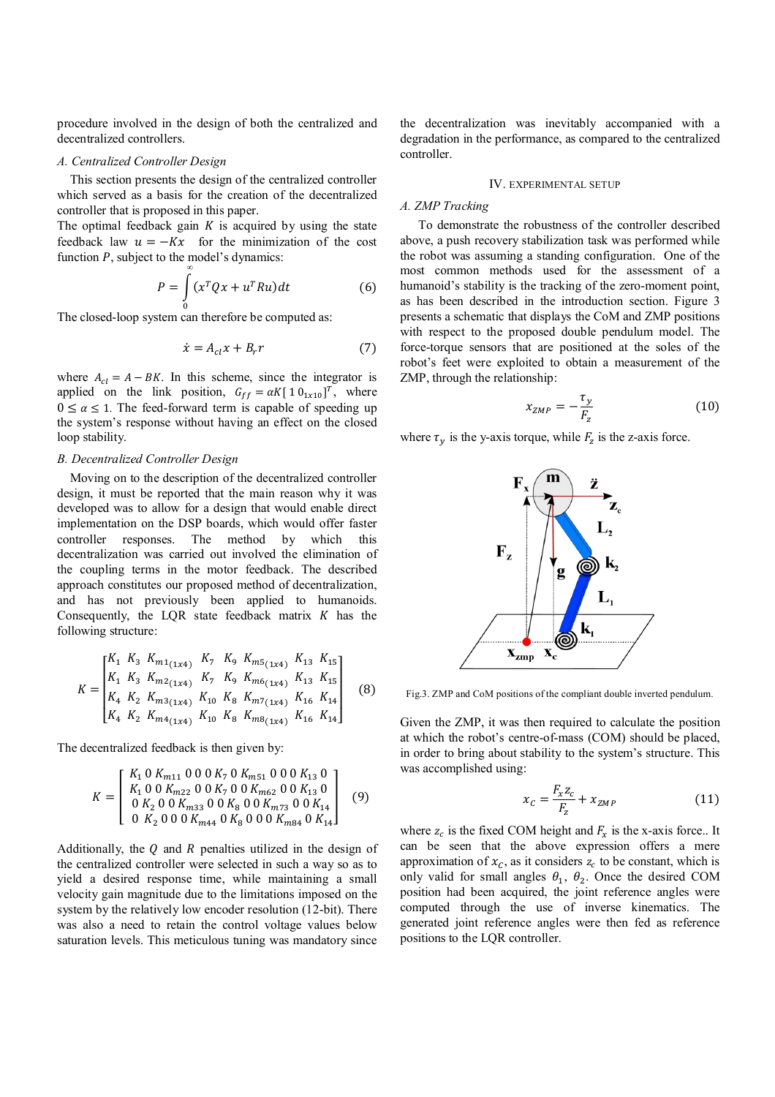procedure involved in the design of both the centralized and decentralized controllers.

## *A. Centralized Controller Design*

This section presents the design of the centralized controller which served as a basis for the creation of the decentralized controller that is proposed in this paper.

The optimal feedback gain  $K$  is acquired by using the state feedback law  $u = -Kx$  for the minimization of the cost function *P*, subject to the model's dynamics:

$$
P = \int_{0}^{\infty} (x^T Q x + u^T R u) dt
$$
 (6)

The closed-loop system can therefore be computed as:

$$
\dot{x} = A_{cl}x + B_r r \tag{7}
$$

where  $A_{cl} = A - BK$ . In this scheme, since the integrator is applied on the link position,  $G_{ff} = \alpha K [1 0_{1x10}]^T$ , where  $0 \le \alpha \le 1$ . The feed-forward term is capable of speeding up the system's response without having an effect on the closed loop stability.

## *B. Decentralized Controller Design*

Moving on to the description of the decentralized controller design, it must be reported that the main reason why it was developed was to allow for a design that would enable direct implementation on the DSP boards, which would offer faster controller responses. The method by which this decentralization was carried out involved the elimination of the coupling terms in the motor feedback. The described approach constitutes our proposed method of decentralization, and has not previously been applied to humanoids. Consequently, the LQR state feedback matrix  $K$  has the following structure:

$$
K = \begin{bmatrix} K_1 & K_3 & K_{m1(1x4)} & K_7 & K_9 & K_{m5(1x4)} & K_{13} & K_{15} \\ K_1 & K_3 & K_{m2(1x4)} & K_7 & K_9 & K_{m6(1x4)} & K_{13} & K_{15} \\ K_4 & K_2 & K_{m3(1x4)} & K_{10} & K_8 & K_{m7(1x4)} & K_{16} & K_{14} \\ K_4 & K_2 & K_{m4(1x4)} & K_{10} & K_8 & K_{m8(1x4)} & K_{16} & K_{14} \end{bmatrix}
$$
(8)

The decentralized feedback is then given by:

$$
K = \begin{bmatrix} K_1 & 0 & K_{m11} & 0 & 0 & 0 & K_7 & 0 & K_{m51} & 0 & 0 & 0 & K_{13} & 0 \\ K_1 & 0 & 0 & K_{m22} & 0 & 0 & K_7 & 0 & 0 & K_{m62} & 0 & 0 & K_{13} & 0 \\ 0 & K_2 & 0 & 0 & K_{m33} & 0 & 0 & K_8 & 0 & 0 & K_{m73} & 0 & 0 & K_{14} \\ 0 & K_2 & 0 & 0 & K_{m44} & 0 & K_8 & 0 & 0 & K_{m84} & 0 & K_{14} \end{bmatrix} \tag{9}
$$

Additionally, the  $Q$  and  $R$  penalties utilized in the design of the centralized controller were selected in such a way so as to yield a desired response time, while maintaining a small velocity gain magnitude due to the limitations imposed on the system by the relatively low encoder resolution (12-bit). There was also a need to retain the control voltage values below saturation levels. This meticulous tuning was mandatory since

the decentralization was inevitably accompanied with a degradation in the performance, as compared to the centralized controller.

## IV. EXPERIMENTAL SETUP

## *A. ZMP Tracking*

To demonstrate the robustness of the controller described above, a push recovery stabilization task was performed while the robot was assuming a standing configuration. One of the most common methods used for the assessment of a humanoid's stability is the tracking of the zero-moment point, as has been described in the introduction section. Figure 3 presents a schematic that displays the CoM and ZMP positions with respect to the proposed double pendulum model. The force-torque sensors that are positioned at the soles of the robot's feet were exploited to obtain a measurement of the ZMP, through the relationship:

$$
x_{ZMP} = -\frac{\tau_y}{F_z} \tag{10}
$$

where  $\tau_v$  is the y-axis torque, while  $F_z$  is the z-axis force.



Fig.3. ZMP and CoM positions of the compliant double inverted pendulum.

Given the ZMP, it was then required to calculate the position at which the robot's centre-of-mass (COM) should be placed, in order to bring about stability to the system's structure. This was accomplished using:

$$
x_C = \frac{F_x z_C}{F_z} + x_{ZMP}
$$
 (11)

where  $z_c$  is the fixed COM height and  $F_x$  is the x-axis force.. It can be seen that the above expression offers a mere approximation of  $x_c$ , as it considers  $z_c$  to be constant, which is only valid for small angles  $\theta_1$ ,  $\theta_2$ . Once the desired COM position had been acquired, the joint reference angles were computed through the use of inverse kinematics. The generated joint reference angles were then fed as reference positions to the LQR controller.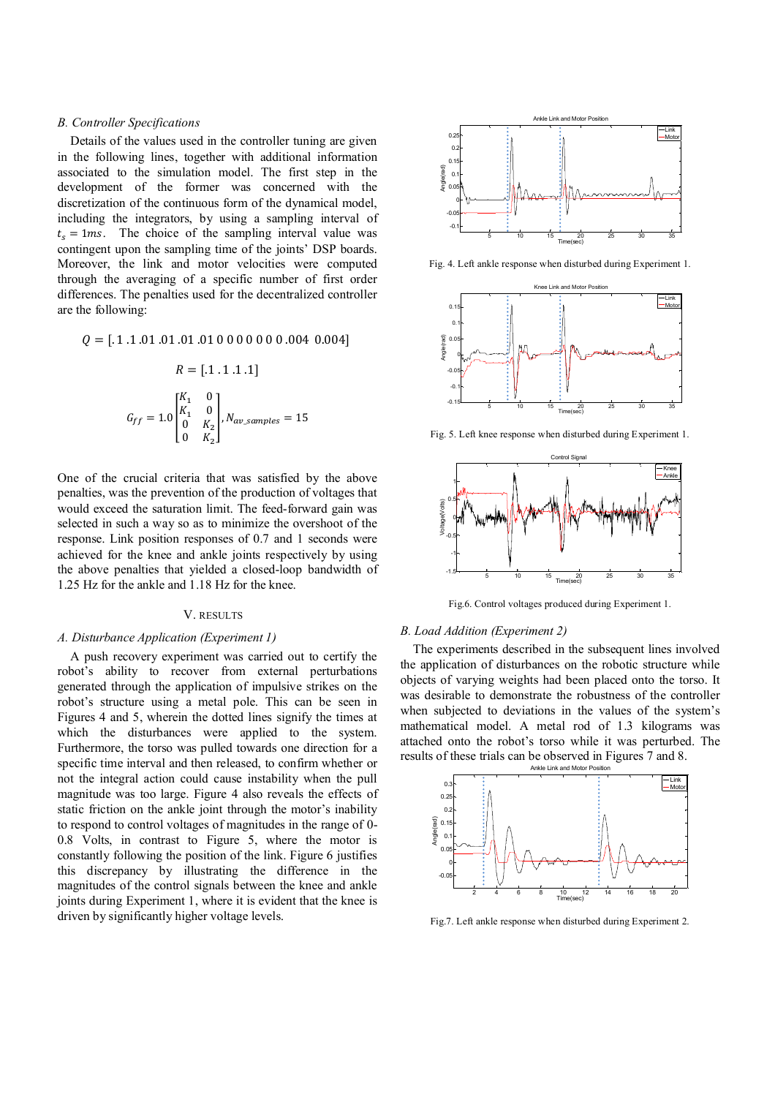## *B. Controller Specifications*

Details of the values used in the controller tuning are given in the following lines, together with additional information associated to the simulation model. The first step in the development of the former was concerned with the discretization of the continuous form of the dynamical model, including the integrators, by using a sampling interval of  $t_s = 1$  ms. The choice of the sampling interval value was contingent upon the sampling time of the joints' DSP boards. Moreover, the link and motor velocities were computed through the averaging of a specific number of first order differences. The penalties used for the decentralized controller are the following:

$$
Q = [.1.1.01.01.01.01 00 0 0 0 0 0 0.004 0.004]
$$

$$
R = [.1.1.1.1]
$$

$$
G_{ff} = 1.0 \begin{bmatrix} K_1 & 0 \\ K_1 & 0 \\ 0 & K_2 \\ 0 & K_2 \end{bmatrix}, N_{av\_samples} = 15
$$

One of the crucial criteria that was satisfied by the above penalties, was the prevention of the production of voltages that would exceed the saturation limit. The feed-forward gain was selected in such a way so as to minimize the overshoot of the response. Link position responses of 0.7 and 1 seconds were achieved for the knee and ankle joints respectively by using the above penalties that yielded a closed-loop bandwidth of 1.25 Hz for the ankle and 1.18 Hz for the knee.

### V. RESULTS

## *A. Disturbance Application (Experiment 1)*

A push recovery experiment was carried out to certify the robot's ability to recover from external perturbations generated through the application of impulsive strikes on the robot's structure using a metal pole. This can be seen in Figures 4 and 5, wherein the dotted lines signify the times at which the disturbances were applied to the system. Furthermore, the torso was pulled towards one direction for a specific time interval and then released, to confirm whether or not the integral action could cause instability when the pull magnitude was too large. Figure 4 also reveals the effects of static friction on the ankle joint through the motor's inability to respond to control voltages of magnitudes in the range of 0- 0.8 Volts, in contrast to Figure 5, where the motor is constantly following the position of the link. Figure 6 justifies this discrepancy by illustrating the difference in the magnitudes of the control signals between the knee and ankle joints during Experiment 1, where it is evident that the knee is driven by significantly higher voltage levels.



Fig. 4. Left ankle response when disturbed during Experiment 1.



Fig. 5. Left knee response when disturbed during Experiment 1.



Fig.6. Control voltages produced during Experiment 1.

#### *B. Load Addition (Experiment 2)*

The experiments described in the subsequent lines involved the application of disturbances on the robotic structure while objects of varying weights had been placed onto the torso. It was desirable to demonstrate the robustness of the controller when subjected to deviations in the values of the system's mathematical model. A metal rod of 1.3 kilograms was attached onto the robot's torso while it was perturbed. The results of these trials can be observed in Figures 7 and 8.



Fig.7. Left ankle response when disturbed during Experiment 2.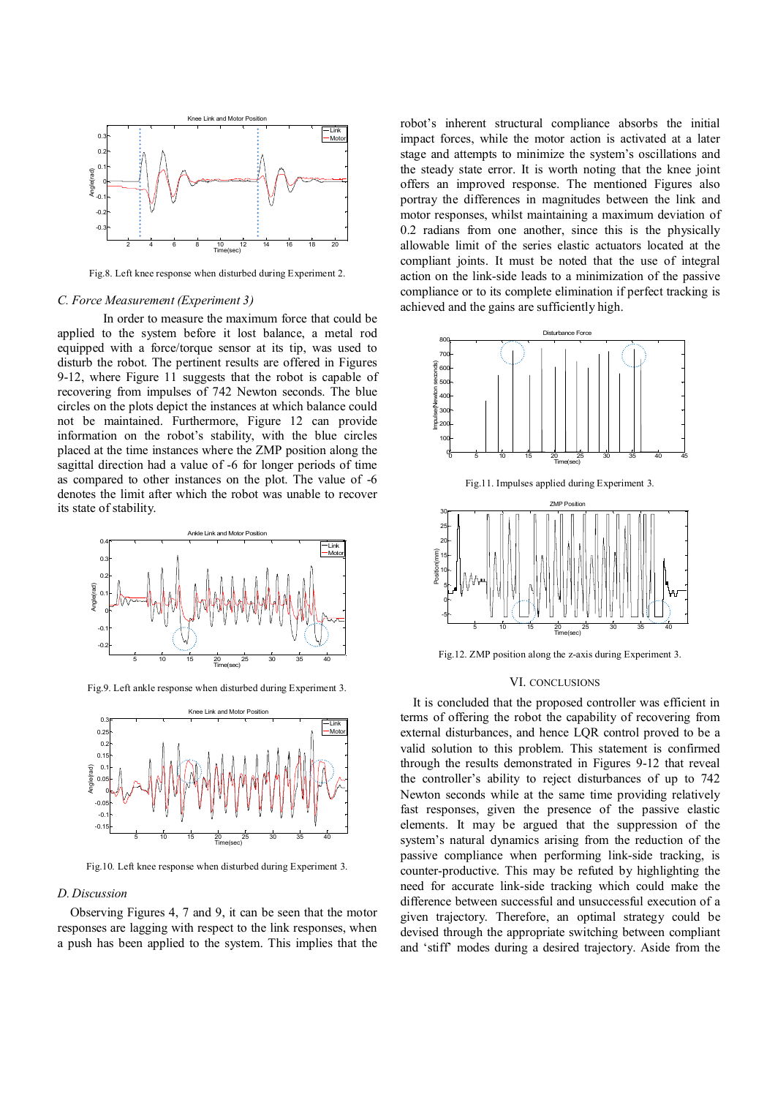

Fig.8. Left knee response when disturbed during Experiment 2.

### *C. Force Measurement (Experiment 3)*

In order to measure the maximum force that could be applied to the system before it lost balance, a metal rod equipped with a force/torque sensor at its tip, was used to disturb the robot. The pertinent results are offered in Figures 9-12, where Figure 11 suggests that the robot is capable of recovering from impulses of 742 Newton seconds. The blue circles on the plots depict the instances at which balance could not be maintained. Furthermore, Figure 12 can provide information on the robot's stability, with the blue circles placed at the time instances where the ZMP position along the sagittal direction had a value of -6 for longer periods of time as compared to other instances on the plot. The value of -6 denotes the limit after which the robot was unable to recover its state of stability.



Fig.9. Left ankle response when disturbed during Experiment 3.



Fig.10. Left knee response when disturbed during Experiment 3.

## *D.Discussion*

Observing Figures 4, 7 and 9, it can be seen that the motor responses are lagging with respect to the link responses, when a push has been applied to the system. This implies that the

robot's inherent structural compliance absorbs the initial impact forces, while the motor action is activated at a later stage and attempts to minimize the system's oscillations and the steady state error. It is worth noting that the knee joint offers an improved response. The mentioned Figures also portray the differences in magnitudes between the link and motor responses, whilst maintaining a maximum deviation of 0.2 radians from one another, since this is the physically allowable limit of the series elastic actuators located at the compliant joints. It must be noted that the use of integral action on the link-side leads to a minimization of the passive compliance or to its complete elimination if perfect tracking is achieved and the gains are sufficiently high.



Fig.12. ZMP position along the z-axis during Experiment 3.

### VI. CONCLUSIONS

It is concluded that the proposed controller was efficient in terms of offering the robot the capability of recovering from external disturbances, and hence LQR control proved to be a valid solution to this problem. This statement is confirmed through the results demonstrated in Figures 9-12 that reveal the controller's ability to reject disturbances of up to 742 Newton seconds while at the same time providing relatively fast responses, given the presence of the passive elastic elements. It may be argued that the suppression of the system's natural dynamics arising from the reduction of the passive compliance when performing link-side tracking, is counter-productive. This may be refuted by highlighting the need for accurate link-side tracking which could make the difference between successful and unsuccessful execution of a given trajectory. Therefore, an optimal strategy could be devised through the appropriate switching between compliant and 'stiff' modes during a desired trajectory. Aside from the